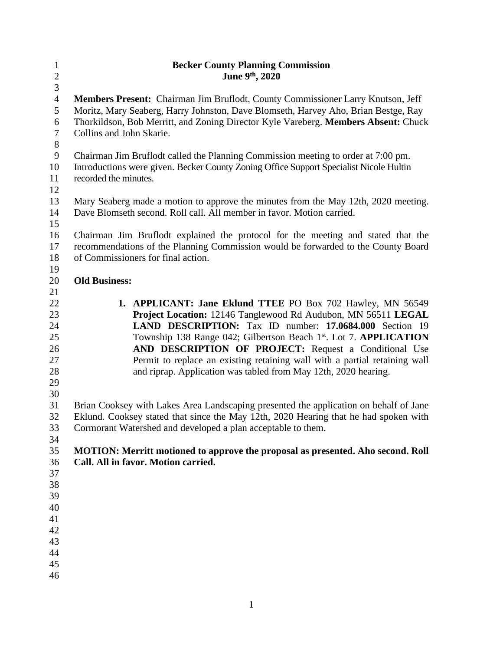| $\mathbf{1}$     | <b>Becker County Planning Commission</b>                                                                                  |  |  |
|------------------|---------------------------------------------------------------------------------------------------------------------------|--|--|
| $\frac{2}{3}$    | June 9th, 2020                                                                                                            |  |  |
|                  |                                                                                                                           |  |  |
| $\overline{4}$   | Members Present: Chairman Jim Bruflodt, County Commissioner Larry Knutson, Jeff                                           |  |  |
| 5                | Moritz, Mary Seaberg, Harry Johnston, Dave Blomseth, Harvey Aho, Brian Bestge, Ray                                        |  |  |
| 6                | Thorkildson, Bob Merritt, and Zoning Director Kyle Vareberg. Members Absent: Chuck                                        |  |  |
| $\boldsymbol{7}$ | Collins and John Skarie.                                                                                                  |  |  |
| $8\,$            |                                                                                                                           |  |  |
| 9                | Chairman Jim Bruflodt called the Planning Commission meeting to order at 7:00 pm.                                         |  |  |
| 10               | Introductions were given. Becker County Zoning Office Support Specialist Nicole Hultin                                    |  |  |
| 11               | recorded the minutes.                                                                                                     |  |  |
| 12               |                                                                                                                           |  |  |
| 13               | Mary Seaberg made a motion to approve the minutes from the May 12th, 2020 meeting.                                        |  |  |
| 14               | Dave Blomseth second. Roll call. All member in favor. Motion carried.                                                     |  |  |
| 15               |                                                                                                                           |  |  |
| 16               | Chairman Jim Bruflodt explained the protocol for the meeting and stated that the                                          |  |  |
| 17               | recommendations of the Planning Commission would be forwarded to the County Board                                         |  |  |
| 18               | of Commissioners for final action.                                                                                        |  |  |
| 19               |                                                                                                                           |  |  |
| 20               | <b>Old Business:</b>                                                                                                      |  |  |
| 21               |                                                                                                                           |  |  |
| 22               | <b>1. APPLICANT: Jane Eklund TTEE PO Box 702 Hawley, MN 56549</b>                                                         |  |  |
| 23               | Project Location: 12146 Tanglewood Rd Audubon, MN 56511 LEGAL                                                             |  |  |
| 24               | <b>LAND DESCRIPTION:</b> Tax ID number: 17.0684.000 Section 19                                                            |  |  |
| 25               |                                                                                                                           |  |  |
| 26               | Township 138 Range 042; Gilbertson Beach 1st. Lot 7. APPLICATION<br>AND DESCRIPTION OF PROJECT: Request a Conditional Use |  |  |
| 27               | Permit to replace an existing retaining wall with a partial retaining wall                                                |  |  |
| 28               | and riprap. Application was tabled from May 12th, 2020 hearing.                                                           |  |  |
| 29               |                                                                                                                           |  |  |
| 30               |                                                                                                                           |  |  |
| 31               | Brian Cooksey with Lakes Area Landscaping presented the application on behalf of Jane                                     |  |  |
| 32               | Eklund. Cooksey stated that since the May 12th, 2020 Hearing that he had spoken with                                      |  |  |
| 33               | Cormorant Watershed and developed a plan acceptable to them.                                                              |  |  |
| 34               |                                                                                                                           |  |  |
| 35               | MOTION: Merritt motioned to approve the proposal as presented. Aho second. Roll                                           |  |  |
| 36               | Call. All in favor. Motion carried.                                                                                       |  |  |
| 37               |                                                                                                                           |  |  |
| 38               |                                                                                                                           |  |  |
| 39               |                                                                                                                           |  |  |
|                  |                                                                                                                           |  |  |
| 40<br>41         |                                                                                                                           |  |  |
| 42               |                                                                                                                           |  |  |
|                  |                                                                                                                           |  |  |
| 43<br>44         |                                                                                                                           |  |  |
| 45               |                                                                                                                           |  |  |
| 46               |                                                                                                                           |  |  |
|                  |                                                                                                                           |  |  |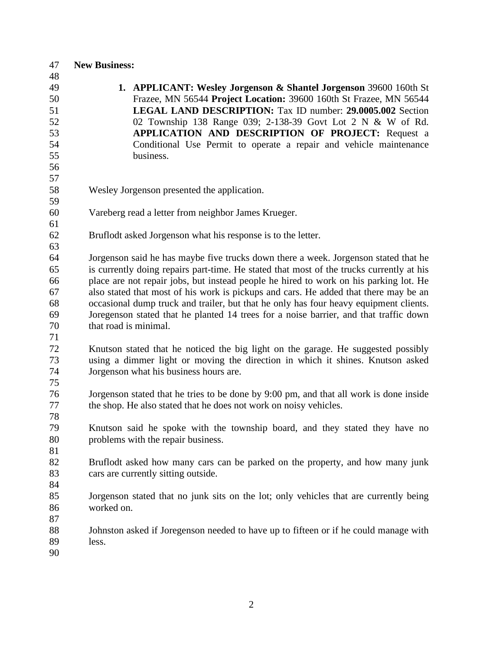## **New Business:**

| ™        |                                                                                          |  |  |  |
|----------|------------------------------------------------------------------------------------------|--|--|--|
| 49       | 1. APPLICANT: Wesley Jorgenson & Shantel Jorgenson 39600 160th St                        |  |  |  |
| 50       | Frazee, MN 56544 Project Location: 39600 160th St Frazee, MN 56544                       |  |  |  |
| 51       | <b>LEGAL LAND DESCRIPTION:</b> Tax ID number: 29.0005.002 Section                        |  |  |  |
| 52       | 02 Township 138 Range 039; 2-138-39 Govt Lot 2 N & W of Rd.                              |  |  |  |
| 53       | <b>APPLICATION AND DESCRIPTION OF PROJECT:</b> Request a                                 |  |  |  |
| 54       | Conditional Use Permit to operate a repair and vehicle maintenance                       |  |  |  |
| 55       | business.                                                                                |  |  |  |
| 56       |                                                                                          |  |  |  |
| 57       |                                                                                          |  |  |  |
| 58       | Wesley Jorgenson presented the application.                                              |  |  |  |
| 59       |                                                                                          |  |  |  |
| 60       | Vareberg read a letter from neighbor James Krueger.                                      |  |  |  |
| 61       |                                                                                          |  |  |  |
| 62       | Bruflodt asked Jorgenson what his response is to the letter.                             |  |  |  |
| 63       |                                                                                          |  |  |  |
| 64       | Jorgenson said he has maybe five trucks down there a week. Jorgenson stated that he      |  |  |  |
| 65       | is currently doing repairs part-time. He stated that most of the trucks currently at his |  |  |  |
| 66       | place are not repair jobs, but instead people he hired to work on his parking lot. He    |  |  |  |
| 67       | also stated that most of his work is pickups and cars. He added that there may be an     |  |  |  |
| 68       | occasional dump truck and trailer, but that he only has four heavy equipment clients.    |  |  |  |
| 69       | Joregenson stated that he planted 14 trees for a noise barrier, and that traffic down    |  |  |  |
| 70       | that road is minimal.                                                                    |  |  |  |
| 71       |                                                                                          |  |  |  |
| 72       | Knutson stated that he noticed the big light on the garage. He suggested possibly        |  |  |  |
| 73       | using a dimmer light or moving the direction in which it shines. Knutson asked           |  |  |  |
| 74       | Jorgenson what his business hours are.                                                   |  |  |  |
| 75       |                                                                                          |  |  |  |
| 76       | Jorgenson stated that he tries to be done by 9:00 pm, and that all work is done inside   |  |  |  |
| 77       | the shop. He also stated that he does not work on noisy vehicles.                        |  |  |  |
| 78       |                                                                                          |  |  |  |
| 79       | Knutson said he spoke with the township board, and they stated they have no              |  |  |  |
| 80       | problems with the repair business.                                                       |  |  |  |
| 81<br>82 | Bruflodt asked how many cars can be parked on the property, and how many junk            |  |  |  |
|          | cars are currently sitting outside.                                                      |  |  |  |
| 83<br>84 |                                                                                          |  |  |  |
| 85       | Jorgenson stated that no junk sits on the lot; only vehicles that are currently being    |  |  |  |
| 86       | worked on.                                                                               |  |  |  |
| 87       |                                                                                          |  |  |  |
| 88       | Johnston asked if Joregenson needed to have up to fifteen or if he could manage with     |  |  |  |
| 89       | less.                                                                                    |  |  |  |
| 90       |                                                                                          |  |  |  |
|          |                                                                                          |  |  |  |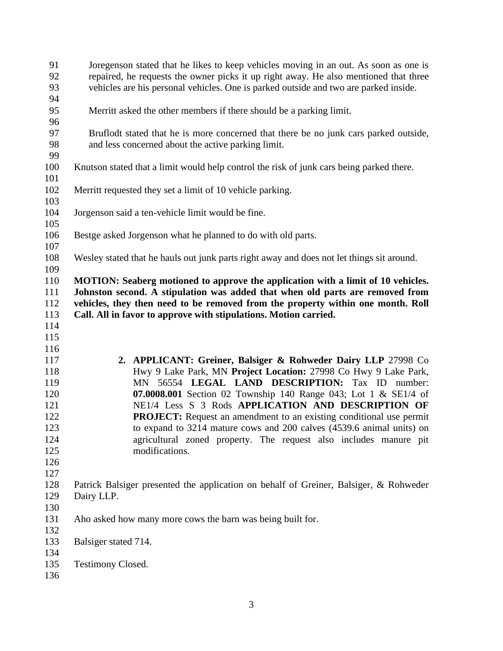| 91  | Joregenson stated that he likes to keep vehicles moving in an out. As soon as one is      |  |  |  |
|-----|-------------------------------------------------------------------------------------------|--|--|--|
| 92  | repaired, he requests the owner picks it up right away. He also mentioned that three      |  |  |  |
| 93  | vehicles are his personal vehicles. One is parked outside and two are parked inside.      |  |  |  |
| 94  |                                                                                           |  |  |  |
| 95  | Merritt asked the other members if there should be a parking limit.                       |  |  |  |
| 96  |                                                                                           |  |  |  |
| 97  | Bruflodt stated that he is more concerned that there be no junk cars parked outside,      |  |  |  |
| 98  | and less concerned about the active parking limit.                                        |  |  |  |
| 99  |                                                                                           |  |  |  |
| 100 | Knutson stated that a limit would help control the risk of junk cars being parked there.  |  |  |  |
| 101 |                                                                                           |  |  |  |
| 102 | Merritt requested they set a limit of 10 vehicle parking.                                 |  |  |  |
| 103 |                                                                                           |  |  |  |
| 104 | Jorgenson said a ten-vehicle limit would be fine.                                         |  |  |  |
| 105 |                                                                                           |  |  |  |
| 106 | Bestge asked Jorgenson what he planned to do with old parts.                              |  |  |  |
| 107 |                                                                                           |  |  |  |
| 108 | Wesley stated that he hauls out junk parts right away and does not let things sit around. |  |  |  |
| 109 |                                                                                           |  |  |  |
| 110 | MOTION: Seaberg motioned to approve the application with a limit of 10 vehicles.          |  |  |  |
| 111 | Johnston second. A stipulation was added that when old parts are removed from             |  |  |  |
| 112 | vehicles, they then need to be removed from the property within one month. Roll           |  |  |  |
| 113 | Call. All in favor to approve with stipulations. Motion carried.                          |  |  |  |
| 114 |                                                                                           |  |  |  |
|     |                                                                                           |  |  |  |
| 115 |                                                                                           |  |  |  |
| 116 |                                                                                           |  |  |  |
| 117 | 2. APPLICANT: Greiner, Balsiger & Rohweder Dairy LLP 27998 Co                             |  |  |  |
| 118 | Hwy 9 Lake Park, MN Project Location: 27998 Co Hwy 9 Lake Park,                           |  |  |  |
| 119 | MN 56554 LEGAL LAND DESCRIPTION: Tax ID number:                                           |  |  |  |
| 120 | 07.0008.001 Section 02 Township 140 Range 043; Lot 1 & SE1/4 of                           |  |  |  |
| 121 | NE1/4 Less S 3 Rods APPLICATION AND DESCRIPTION OF                                        |  |  |  |
| 122 | <b>PROJECT:</b> Request an amendment to an existing conditional use permit                |  |  |  |
| 123 | to expand to 3214 mature cows and 200 calves (4539.6 animal units) on                     |  |  |  |
| 124 | agricultural zoned property. The request also includes manure pit                         |  |  |  |
| 125 | modifications.                                                                            |  |  |  |
| 126 |                                                                                           |  |  |  |
| 127 |                                                                                           |  |  |  |
| 128 | Patrick Balsiger presented the application on behalf of Greiner, Balsiger, & Rohweder     |  |  |  |
| 129 | Dairy LLP.                                                                                |  |  |  |
| 130 |                                                                                           |  |  |  |
| 131 |                                                                                           |  |  |  |
|     | Aho asked how many more cows the barn was being built for.                                |  |  |  |
| 132 |                                                                                           |  |  |  |
| 133 | Balsiger stated 714.                                                                      |  |  |  |
| 134 |                                                                                           |  |  |  |
| 135 | <b>Testimony Closed.</b>                                                                  |  |  |  |
| 136 |                                                                                           |  |  |  |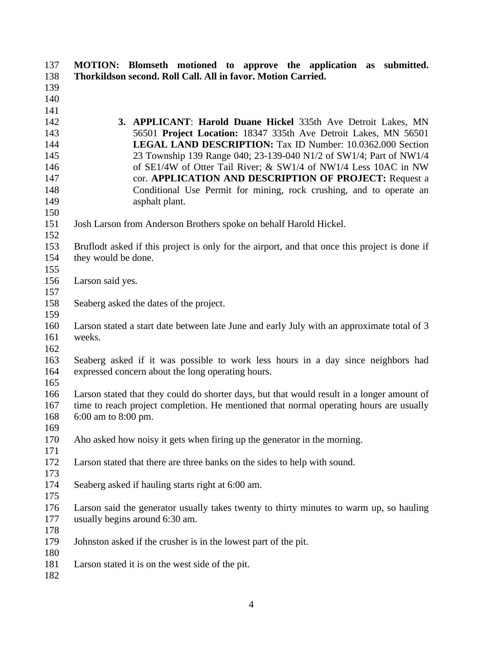| 137 | <b>MOTION:</b> Blomseth motioned to approve the application as<br>submitted.                  |  |  |
|-----|-----------------------------------------------------------------------------------------------|--|--|
| 138 | Thorkildson second. Roll Call. All in favor. Motion Carried.                                  |  |  |
| 139 |                                                                                               |  |  |
| 140 |                                                                                               |  |  |
| 141 |                                                                                               |  |  |
| 142 | 3. APPLICANT: Harold Duane Hickel 335th Ave Detroit Lakes, MN                                 |  |  |
| 143 | 56501 Project Location: 18347 335th Ave Detroit Lakes, MN 56501                               |  |  |
| 144 | <b>LEGAL LAND DESCRIPTION:</b> Tax ID Number: 10.0362.000 Section                             |  |  |
| 145 | 23 Township 139 Range 040; 23-139-040 N1/2 of SW1/4; Part of NW1/4                            |  |  |
| 146 | of SE1/4W of Otter Tail River; & SW1/4 of NW1/4 Less 10AC in NW                               |  |  |
| 147 | cor. APPLICATION AND DESCRIPTION OF PROJECT: Request a                                        |  |  |
| 148 | Conditional Use Permit for mining, rock crushing, and to operate an                           |  |  |
| 149 | asphalt plant.                                                                                |  |  |
| 150 |                                                                                               |  |  |
| 151 | Josh Larson from Anderson Brothers spoke on behalf Harold Hickel.                             |  |  |
| 152 |                                                                                               |  |  |
| 153 | Bruflodt asked if this project is only for the airport, and that once this project is done if |  |  |
| 154 | they would be done.                                                                           |  |  |
| 155 |                                                                                               |  |  |
| 156 | Larson said yes.                                                                              |  |  |
| 157 |                                                                                               |  |  |
| 158 | Seaberg asked the dates of the project.                                                       |  |  |
| 159 |                                                                                               |  |  |
| 160 | Larson stated a start date between late June and early July with an approximate total of 3    |  |  |
| 161 | weeks.                                                                                        |  |  |
| 162 |                                                                                               |  |  |
| 163 | Seaberg asked if it was possible to work less hours in a day since neighbors had              |  |  |
| 164 | expressed concern about the long operating hours.                                             |  |  |
| 165 |                                                                                               |  |  |
| 166 | Larson stated that they could do shorter days, but that would result in a longer amount of    |  |  |
| 167 | time to reach project completion. He mentioned that normal operating hours are usually        |  |  |
| 168 | 6:00 am to 8:00 pm.                                                                           |  |  |
| 169 |                                                                                               |  |  |
| 170 | Aho asked how noisy it gets when firing up the generator in the morning.                      |  |  |
| 171 |                                                                                               |  |  |
| 172 | Larson stated that there are three banks on the sides to help with sound.                     |  |  |
| 173 |                                                                                               |  |  |
| 174 | Seaberg asked if hauling starts right at 6:00 am.                                             |  |  |
| 175 |                                                                                               |  |  |
| 176 | Larson said the generator usually takes twenty to thirty minutes to warm up, so hauling       |  |  |
| 177 | usually begins around 6:30 am.                                                                |  |  |
| 178 |                                                                                               |  |  |
| 179 | Johnston asked if the crusher is in the lowest part of the pit.                               |  |  |
| 180 |                                                                                               |  |  |
| 181 | Larson stated it is on the west side of the pit.                                              |  |  |
| 182 |                                                                                               |  |  |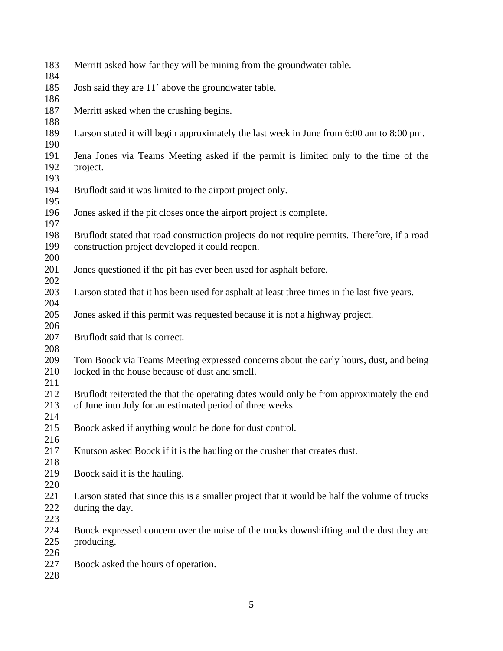| 183<br>184        | Merritt asked how far they will be mining from the groundwater table.                                                                                  |  |  |
|-------------------|--------------------------------------------------------------------------------------------------------------------------------------------------------|--|--|
| 185               | Josh said they are 11' above the groundwater table.                                                                                                    |  |  |
| 186<br>187        | Merritt asked when the crushing begins.                                                                                                                |  |  |
| 188<br>189<br>190 | Larson stated it will begin approximately the last week in June from 6:00 am to 8:00 pm.                                                               |  |  |
| 191<br>192        | Jena Jones via Teams Meeting asked if the permit is limited only to the time of the<br>project.                                                        |  |  |
| 193<br>194<br>195 | Bruflodt said it was limited to the airport project only.                                                                                              |  |  |
| 196<br>197        | Jones asked if the pit closes once the airport project is complete.                                                                                    |  |  |
| 198<br>199<br>200 | Bruflodt stated that road construction projects do not require permits. Therefore, if a road<br>construction project developed it could reopen.        |  |  |
| 201<br>202        | Jones questioned if the pit has ever been used for asphalt before.                                                                                     |  |  |
| 203<br>204        | Larson stated that it has been used for asphalt at least three times in the last five years.                                                           |  |  |
| 205<br>206        | Jones asked if this permit was requested because it is not a highway project.                                                                          |  |  |
| 207<br>208        | Bruflodt said that is correct.                                                                                                                         |  |  |
| 209<br>210<br>211 | Tom Boock via Teams Meeting expressed concerns about the early hours, dust, and being<br>locked in the house because of dust and smell.                |  |  |
| 212<br>213<br>214 | Bruflodt reiterated the that the operating dates would only be from approximately the end<br>of June into July for an estimated period of three weeks. |  |  |
| 215<br>216        | Boock asked if anything would be done for dust control.                                                                                                |  |  |
| 217<br>218        | Knutson asked Boock if it is the hauling or the crusher that creates dust.                                                                             |  |  |
| 219<br>220        | Boock said it is the hauling.                                                                                                                          |  |  |
| 221<br>222<br>223 | Larson stated that since this is a smaller project that it would be half the volume of trucks<br>during the day.                                       |  |  |
| 224<br>225<br>226 | Boock expressed concern over the noise of the trucks downshifting and the dust they are<br>producing.                                                  |  |  |
| 227<br>228        | Boock asked the hours of operation.                                                                                                                    |  |  |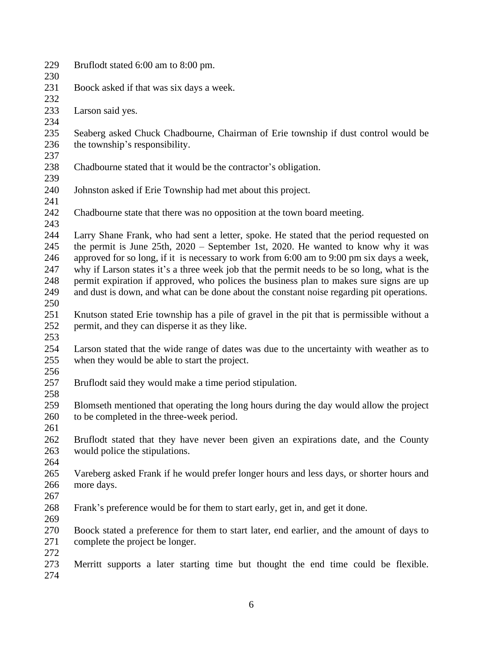| 229 | Bruflodt stated 6:00 am to 8:00 pm.                                                         |  |  |  |
|-----|---------------------------------------------------------------------------------------------|--|--|--|
| 230 |                                                                                             |  |  |  |
| 231 | Boock asked if that was six days a week.                                                    |  |  |  |
| 232 |                                                                                             |  |  |  |
| 233 | Larson said yes.                                                                            |  |  |  |
| 234 |                                                                                             |  |  |  |
| 235 | Seaberg asked Chuck Chadbourne, Chairman of Erie township if dust control would be          |  |  |  |
| 236 | the township's responsibility.                                                              |  |  |  |
| 237 |                                                                                             |  |  |  |
| 238 | Chadbourne stated that it would be the contractor's obligation.                             |  |  |  |
| 239 |                                                                                             |  |  |  |
| 240 | Johnston asked if Erie Township had met about this project.                                 |  |  |  |
| 241 |                                                                                             |  |  |  |
| 242 | Chadbourne state that there was no opposition at the town board meeting.                    |  |  |  |
| 243 |                                                                                             |  |  |  |
| 244 | Larry Shane Frank, who had sent a letter, spoke. He stated that the period requested on     |  |  |  |
| 245 | the permit is June $25th$ , $2020$ – September 1st, $2020$ . He wanted to know why it was   |  |  |  |
| 246 | approved for so long, if it is necessary to work from 6:00 am to 9:00 pm six days a week,   |  |  |  |
| 247 | why if Larson states it's a three week job that the permit needs to be so long, what is the |  |  |  |
| 248 | permit expiration if approved, who polices the business plan to makes sure signs are up     |  |  |  |
| 249 | and dust is down, and what can be done about the constant noise regarding pit operations.   |  |  |  |
| 250 |                                                                                             |  |  |  |
| 251 | Knutson stated Erie township has a pile of gravel in the pit that is permissible without a  |  |  |  |
| 252 | permit, and they can disperse it as they like.                                              |  |  |  |
| 253 |                                                                                             |  |  |  |
| 254 | Larson stated that the wide range of dates was due to the uncertainty with weather as to    |  |  |  |
|     |                                                                                             |  |  |  |
| 255 | when they would be able to start the project.                                               |  |  |  |
| 256 |                                                                                             |  |  |  |
| 257 | Bruflodt said they would make a time period stipulation.                                    |  |  |  |
| 258 |                                                                                             |  |  |  |
| 259 | Blomseth mentioned that operating the long hours during the day would allow the project     |  |  |  |
| 260 | to be completed in the three-week period.                                                   |  |  |  |
| 261 |                                                                                             |  |  |  |
| 262 | Bruflodt stated that they have never been given an expirations date, and the County         |  |  |  |
| 263 | would police the stipulations.                                                              |  |  |  |
| 264 |                                                                                             |  |  |  |
| 265 | Vareberg asked Frank if he would prefer longer hours and less days, or shorter hours and    |  |  |  |
| 266 | more days.                                                                                  |  |  |  |
| 267 |                                                                                             |  |  |  |
| 268 | Frank's preference would be for them to start early, get in, and get it done.               |  |  |  |
| 269 |                                                                                             |  |  |  |
| 270 | Boock stated a preference for them to start later, end earlier, and the amount of days to   |  |  |  |
| 271 | complete the project be longer.                                                             |  |  |  |
| 272 |                                                                                             |  |  |  |
| 273 | Merritt supports a later starting time but thought the end time could be flexible.          |  |  |  |
| 274 |                                                                                             |  |  |  |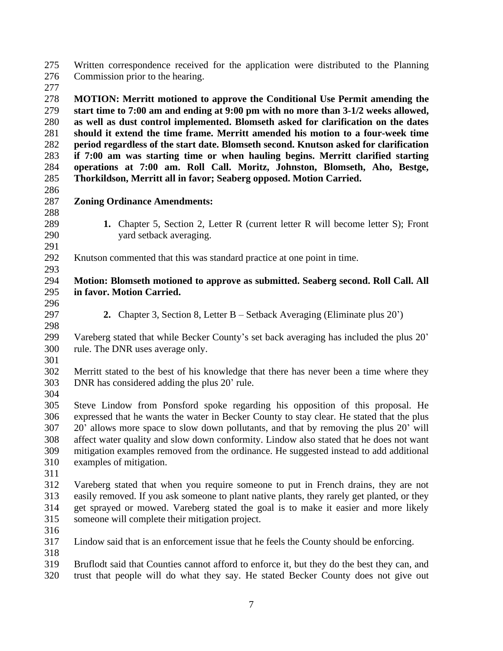Written correspondence received for the application were distributed to the Planning Commission prior to the hearing.

 **MOTION: Merritt motioned to approve the Conditional Use Permit amending the start time to 7:00 am and ending at 9:00 pm with no more than 3-1/2 weeks allowed, as well as dust control implemented. Blomseth asked for clarification on the dates should it extend the time frame. Merritt amended his motion to a four-week time period regardless of the start date. Blomseth second. Knutson asked for clarification if 7:00 am was starting time or when hauling begins. Merritt clarified starting operations at 7:00 am. Roll Call. Moritz, Johnston, Blomseth, Aho, Bestge, Thorkildson, Merritt all in favor; Seaberg opposed. Motion Carried.**

## **Zoning Ordinance Amendments:**

- **1.** Chapter 5, Section 2, Letter R (current letter R will become letter S); Front yard setback averaging.
- Knutson commented that this was standard practice at one point in time.

## **Motion: Blomseth motioned to approve as submitted. Seaberg second. Roll Call. All in favor. Motion Carried.**

- 
- 

**2.** Chapter 3, Section 8, Letter B – Setback Averaging (Eliminate plus 20')

 Vareberg stated that while Becker County's set back averaging has included the plus 20' rule. The DNR uses average only.

 Merritt stated to the best of his knowledge that there has never been a time where they DNR has considered adding the plus 20' rule.

 Steve Lindow from Ponsford spoke regarding his opposition of this proposal. He expressed that he wants the water in Becker County to stay clear. He stated that the plus 20' allows more space to slow down pollutants, and that by removing the plus 20' will affect water quality and slow down conformity. Lindow also stated that he does not want mitigation examples removed from the ordinance. He suggested instead to add additional examples of mitigation.

 Vareberg stated that when you require someone to put in French drains, they are not easily removed. If you ask someone to plant native plants, they rarely get planted, or they get sprayed or mowed. Vareberg stated the goal is to make it easier and more likely someone will complete their mitigation project.

Lindow said that is an enforcement issue that he feels the County should be enforcing.

 Bruflodt said that Counties cannot afford to enforce it, but they do the best they can, and trust that people will do what they say. He stated Becker County does not give out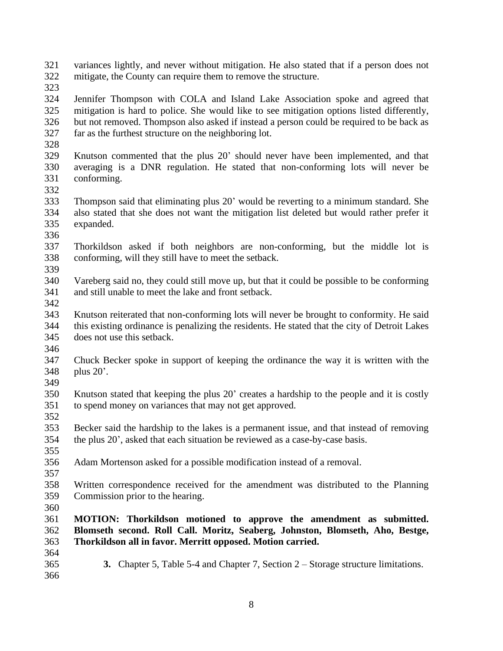- variances lightly, and never without mitigation. He also stated that if a person does not mitigate, the County can require them to remove the structure.
- 

 Jennifer Thompson with COLA and Island Lake Association spoke and agreed that mitigation is hard to police. She would like to see mitigation options listed differently, but not removed. Thompson also asked if instead a person could be required to be back as far as the furthest structure on the neighboring lot.

- 
- Knutson commented that the plus 20' should never have been implemented, and that averaging is a DNR regulation. He stated that non-conforming lots will never be conforming.
- 
- Thompson said that eliminating plus 20' would be reverting to a minimum standard. She also stated that she does not want the mitigation list deleted but would rather prefer it expanded.
- 
- Thorkildson asked if both neighbors are non-conforming, but the middle lot is conforming, will they still have to meet the setback.
- 
- Vareberg said no, they could still move up, but that it could be possible to be conforming and still unable to meet the lake and front setback.
- 
- Knutson reiterated that non-conforming lots will never be brought to conformity. He said this existing ordinance is penalizing the residents. He stated that the city of Detroit Lakes does not use this setback.
- 
- Chuck Becker spoke in support of keeping the ordinance the way it is written with the plus 20'.
- 
- Knutson stated that keeping the plus 20' creates a hardship to the people and it is costly to spend money on variances that may not get approved.
- Becker said the hardship to the lakes is a permanent issue, and that instead of removing the plus 20', asked that each situation be reviewed as a case-by-case basis.
- Adam Mortenson asked for a possible modification instead of a removal.
- 
- Written correspondence received for the amendment was distributed to the Planning Commission prior to the hearing.
- 
- **MOTION: Thorkildson motioned to approve the amendment as submitted. Blomseth second. Roll Call. Moritz, Seaberg, Johnston, Blomseth, Aho, Bestge, Thorkildson all in favor. Merritt opposed. Motion carried.**
- **3.** Chapter 5, Table 5-4 and Chapter 7, Section 2 Storage structure limitations.
-